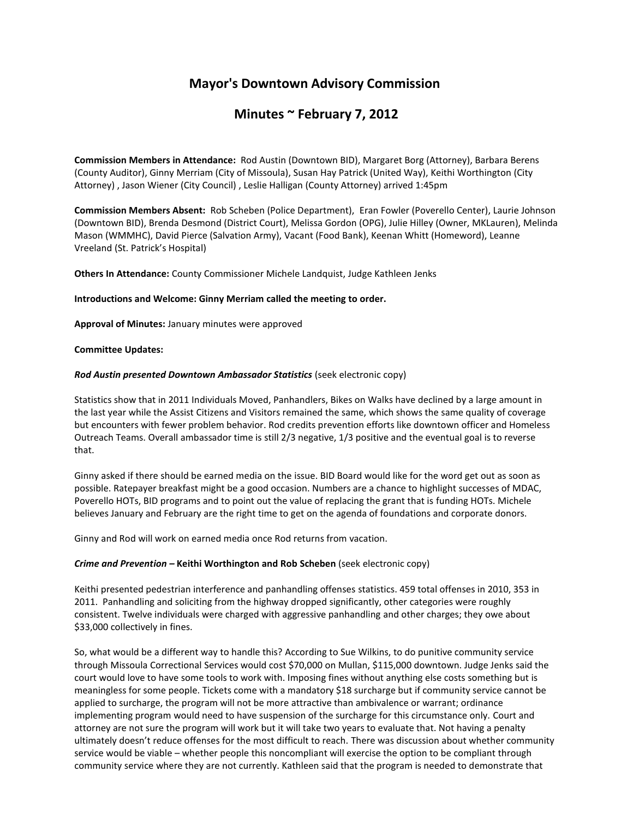# **Mayor's Downtown Advisory Commission**

# **Minutes ~ February 7, 2012**

**Commission Members in Attendance:** Rod Austin (Downtown BID), Margaret Borg (Attorney), Barbara Berens (County Auditor), Ginny Merriam (City of Missoula), Susan Hay Patrick (United Way), Keithi Worthington (City Attorney) , Jason Wiener (City Council) , Leslie Halligan (County Attorney) arrived 1:45pm

**Commission Members Absent:** Rob Scheben (Police Department), Eran Fowler (Poverello Center), Laurie Johnson (Downtown BID), Brenda Desmond (District Court), Melissa Gordon (OPG), Julie Hilley (Owner, MKLauren), Melinda Mason (WMMHC), David Pierce (Salvation Army), Vacant (Food Bank), Keenan Whitt (Homeword), Leanne Vreeland (St. Patrick's Hospital)

**Others In Attendance:** County Commissioner Michele Landquist, Judge Kathleen Jenks

#### **Introductions and Welcome: Ginny Merriam called the meeting to order.**

**Approval of Minutes:** January minutes were approved

#### **Committee Updates:**

### *Rod Austin presented Downtown Ambassador Statistics* (seek electronic copy)

Statistics show that in 2011 Individuals Moved, Panhandlers, Bikes on Walks have declined by a large amount in the last year while the Assist Citizens and Visitors remained the same, which shows the same quality of coverage but encounters with fewer problem behavior. Rod credits prevention efforts like downtown officer and Homeless Outreach Teams. Overall ambassador time is still 2/3 negative, 1/3 positive and the eventual goal is to reverse that.

Ginny asked if there should be earned media on the issue. BID Board would like for the word get out as soon as possible. Ratepayer breakfast might be a good occasion. Numbers are a chance to highlight successes of MDAC, Poverello HOTs, BID programs and to point out the value of replacing the grant that is funding HOTs. Michele believes January and February are the right time to get on the agenda of foundations and corporate donors.

Ginny and Rod will work on earned media once Rod returns from vacation.

## *Crime and Prevention –* **Keithi Worthington and Rob Scheben** (seek electronic copy)

Keithi presented pedestrian interference and panhandling offenses statistics. 459 total offenses in 2010, 353 in 2011. Panhandling and soliciting from the highway dropped significantly, other categories were roughly consistent. Twelve individuals were charged with aggressive panhandling and other charges; they owe about \$33,000 collectively in fines.

So, what would be a different way to handle this? According to Sue Wilkins, to do punitive community service through Missoula Correctional Services would cost \$70,000 on Mullan, \$115,000 downtown. Judge Jenks said the court would love to have some tools to work with. Imposing fines without anything else costs something but is meaningless for some people. Tickets come with a mandatory \$18 surcharge but if community service cannot be applied to surcharge, the program will not be more attractive than ambivalence or warrant; ordinance implementing program would need to have suspension of the surcharge for this circumstance only. Court and attorney are not sure the program will work but it will take two years to evaluate that. Not having a penalty ultimately doesn't reduce offenses for the most difficult to reach. There was discussion about whether community service would be viable – whether people this noncompliant will exercise the option to be compliant through community service where they are not currently. Kathleen said that the program is needed to demonstrate that